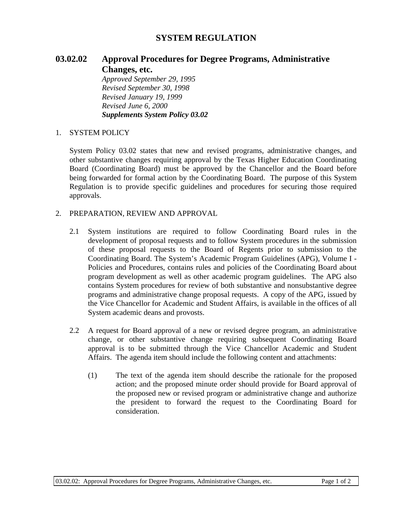## **SYSTEM REGULATION**

## **03.02.02 Approval Procedures for Degree Programs, Administrative Changes, etc.**

*Approved September 29, 1995 Revised September 30, 1998 Revised January 19, 1999 Revised June 6, 2000 Supplements System Policy 03.02*

## 1. SYSTEM POLICY

System Policy 03.02 states that new and revised programs, administrative changes, and other substantive changes requiring approval by the Texas Higher Education Coordinating Board (Coordinating Board) must be approved by the Chancellor and the Board before being forwarded for formal action by the Coordinating Board. The purpose of this System Regulation is to provide specific guidelines and procedures for securing those required approvals.

## 2. PREPARATION, REVIEW AND APPROVAL

- 2.1 System institutions are required to follow Coordinating Board rules in the development of proposal requests and to follow System procedures in the submission of these proposal requests to the Board of Regents prior to submission to the Coordinating Board. The System's Academic Program Guidelines (APG), Volume I - Policies and Procedures, contains rules and policies of the Coordinating Board about program development as well as other academic program guidelines. The APG also contains System procedures for review of both substantive and nonsubstantive degree programs and administrative change proposal requests. A copy of the APG, issued by the Vice Chancellor for Academic and Student Affairs, is available in the offices of all System academic deans and provosts.
- 2.2 A request for Board approval of a new or revised degree program, an administrative change, or other substantive change requiring subsequent Coordinating Board approval is to be submitted through the Vice Chancellor Academic and Student Affairs. The agenda item should include the following content and attachments:
	- (1) The text of the agenda item should describe the rationale for the proposed action; and the proposed minute order should provide for Board approval of the proposed new or revised program or administrative change and authorize the president to forward the request to the Coordinating Board for consideration.